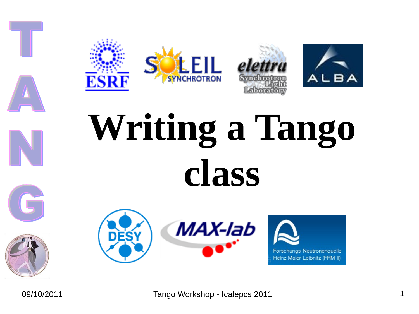







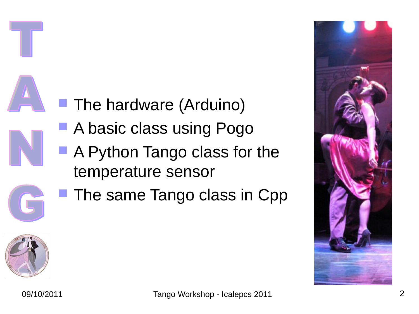

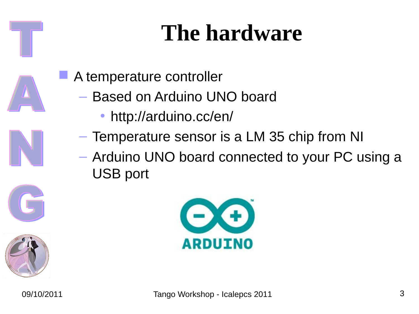- A temperature controller
	- Based on Arduino UNO board
		- http://arduino.cc/en/
	- Temperature sensor is a LM 35 chip from NI
	- Arduino UNO board connected to your PC using a USB port



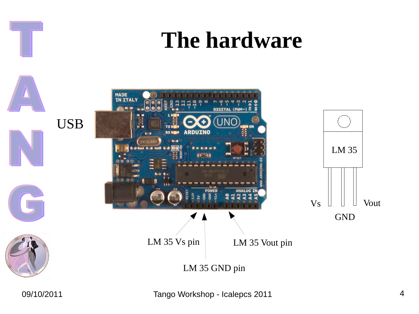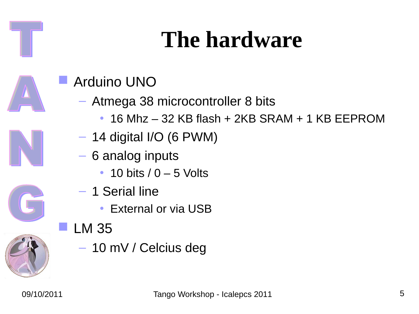



#### Arduino UNO

- Atmega 38 microcontroller 8 bits
	- 16 Mhz 32 KB flash + 2KB SRAM + 1 KB EEPROM
- $-$  14 digital I/O (6 PWM)
- 6 analog inputs
	- $\cdot$  10 bits  $/$  0 5 Volts
- 1 Serial line
	- External or via USB
- LM 35
	- 10 mV / Celcius deg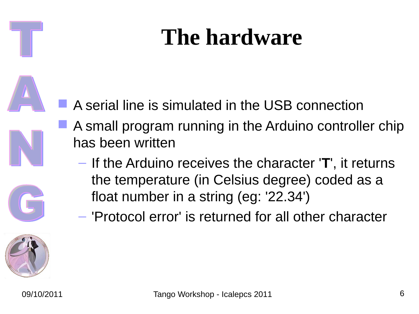

- A small program running in the Arduino controller chip has been written
	- If the Arduino receives the character '**T**', it returns the temperature (in Celsius degree) coded as a float number in a string (eg: '22.34')
	- 'Protocol error' is returned for all other character

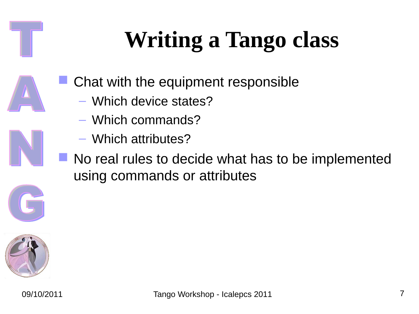

- Which device states?
- Which commands?
- Which attributes?
- No real rules to decide what has to be implemented using commands or attributes

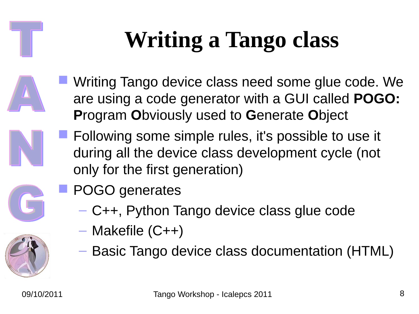- Writing Tango device class need some glue code. We are using a code generator with a GUI called **POGO: P**rogram **O**bviously used to **G**enerate **O**bject
	- Following some simple rules, it's possible to use it during all the device class development cycle (not only for the first generation)



- C++, Python Tango device class glue code
- Makefile (C++)
- Basic Tango device class documentation (HTML)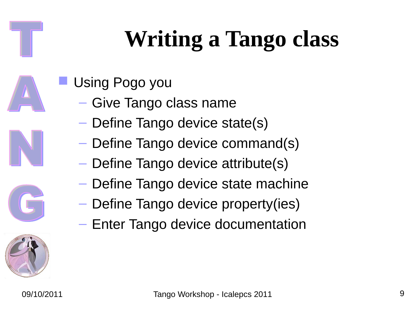- Using Pogo you
	- Give Tango class name
	- Define Tango device state(s)
	- Define Tango device command(s)
	- Define Tango device attribute(s)
	- Define Tango device state machine
	- Define Tango device property(ies)
	- Enter Tango device documentation

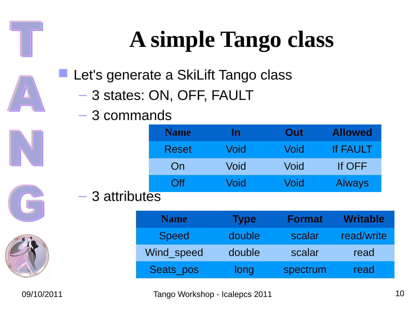# **A simple Tango class**

Let's generate a SkiLift Tango class

- 3 states: ON, OFF, FAULT
- 3 commands

|              | <b>Name</b>    | In   | Out         | <b>Allowed</b> |
|--------------|----------------|------|-------------|----------------|
|              | <b>Reset</b>   | Void | <b>Void</b> | If FAULT       |
|              | On             | Void | Void        | If OFF         |
|              | $\overline{C}$ | Void | Void        | <b>Always</b>  |
| 3 attributes |                |      |             |                |



| <b>Name</b>  | <b>Type</b> | <b>Format</b> | <b>Writable</b> |
|--------------|-------------|---------------|-----------------|
| <b>Speed</b> | double      | scalar        | read/write      |
| Wind speed   | double      | scalar        | read            |
| Seats pos    | long        | spectrum      | read            |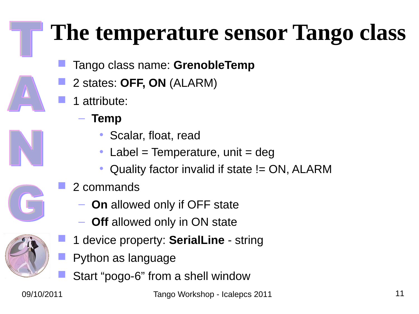#### **The temperature sensor Tango class**

- Tango class name: **GrenobleTemp**
- 2 states: **OFF, ON** (ALARM)
- 1 attribute:
	- **Temp**
		- Scalar, float, read
		- Label = Temperature, unit =  $deg$
		- Quality factor invalid if state != ON, ALARM
- 2 commands
	- **On** allowed only if OFF state
	- **Off** allowed only in ON state
- 1 device property: **SerialLine** string
- Python as language
- Start "pogo-6" from a shell window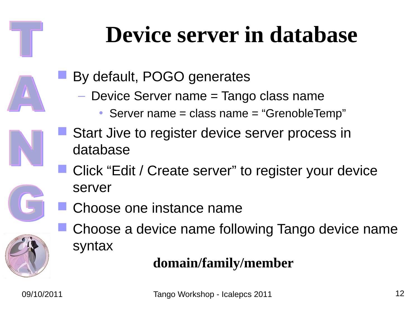#### **Device server in database**

- By default, POGO generates
	- Device Server name = Tango class name
		- Server name = class name = "GrenobleTemp"
- Start Jive to register device server process in database
	- Click "Edit / Create server" to register your device server
- Choose one instance name
- Choose a device name following Tango device name syntax

#### **domain/family/member**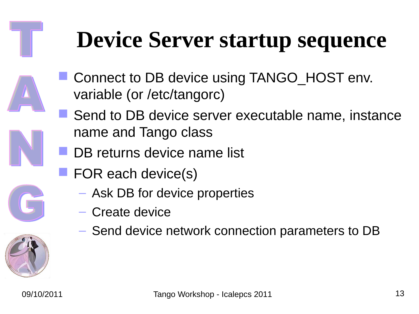#### **Device Server startup sequence**

- Connect to DB device using TANGO\_HOST env. variable (or /etc/tangorc)
- Send to DB device server executable name, instance name and Tango class
- DB returns device name list
- FOR each device(s)
	- Ask DB for device properties
	- Create device
	- Send device network connection parameters to DB

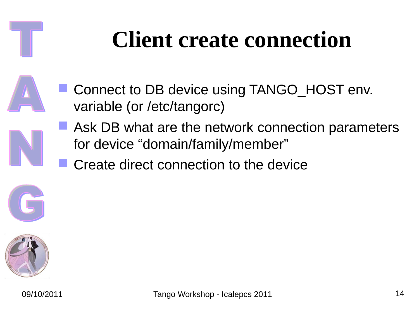#### **Client create connection**

- Connect to DB device using TANGO HOST env. variable (or /etc/tangorc)
	- **Ask DB what are the network connection parameters** for device "domain/family/member"
	- Create direct connection to the device



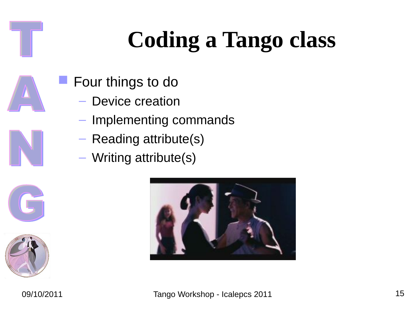# **Coding a Tango class**

- Four things to do
	- Device creation
	- Implementing commands
	- Reading attribute(s)
	- Writing attribute(s)



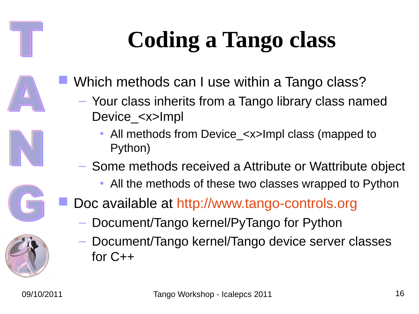# **Coding a Tango class**

- Which methods can I use within a Tango class?
	- Your class inherits from a Tango library class named Device <x>Impl
		- All methods from Device\_<x>Impl class (mapped to Python)
	- Some methods received a Attribute or Wattribute object
		- All the methods of these two classes wrapped to Python
- Doc available at [http://www.tango-controls.org](http://www.tango-controls.org/)
	- Document/Tango kernel/PyTango for Python
	- Document/Tango kernel/Tango device server classes for C++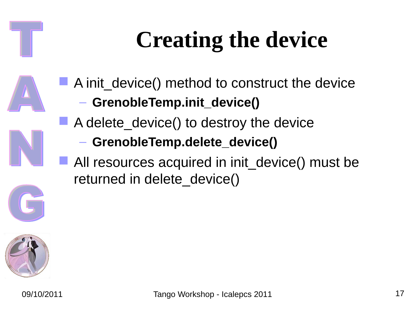# **Creating the device**

- A init device() method to construct the device
	- **GrenobleTemp.init\_device()**
- A delete\_device() to destroy the device
	- **GrenobleTemp.delete\_device()**
- All resources acquired in init device() must be returned in delete device()

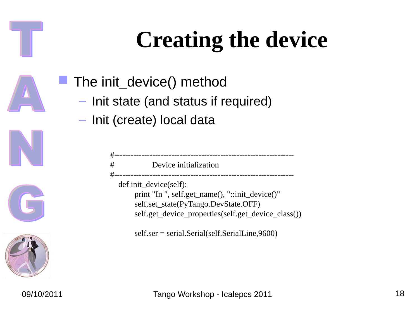# **Creating the device**

- The init\_device() method
	- Init state (and status if required)
	- Init (create) local data

| #<br>--------------------<br>def init_device(self):<br>print "In ", self.get_name(), "::init_device()"<br>self.set_state(PyTango.DevState.OFF) |
|------------------------------------------------------------------------------------------------------------------------------------------------|
| self.get_device_properties(self.get_device_class())<br>self.ser = serial.Serial(self.SerialLine,9600)                                          |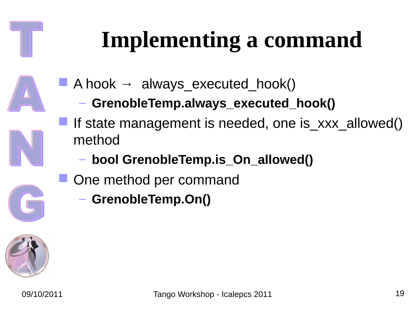# **Implementing a command**

- A hook  $\rightarrow$  always executed hook()
	- **GrenobleTemp.always\_executed\_hook()**
- If state management is needed, one is xxx allowed() method
	- **bool GrenobleTemp.is\_On\_allowed()**
- One method per command
	- **GrenobleTemp.On()**

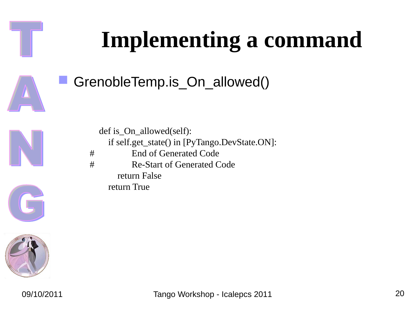# **Implementing a command** GrenobleTemp.is\_On\_allowed() def is\_On\_allowed(self): if self.get\_state() in [PyTango.DevState.ON]: # End of Generated Code # Re-Start of Generated Code return False return True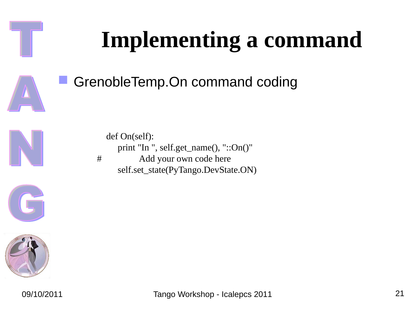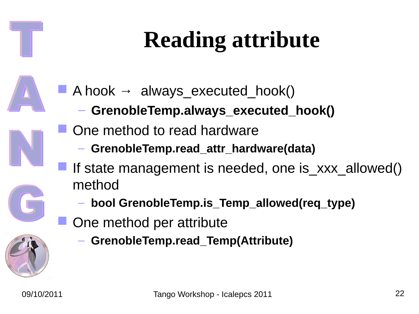# **Reading attribute**

- A hook  $\rightarrow$  always executed hook()
	- **GrenobleTemp.always\_executed\_hook()**
	- One method to read hardware
		- **GrenobleTemp.read\_attr\_hardware(data)**
		- If state management is needed, one is\_xxx\_allowed() method
			- **bool GrenobleTemp.is\_Temp\_allowed(req\_type)**
		- One method per attribute
			- **GrenobleTemp.read\_Temp(Attribute)**

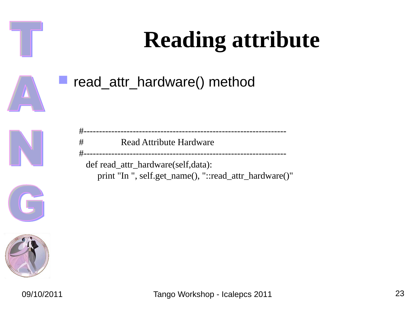## **Reading attribute**





| - #                                | Read Attribute Hardware                                |  |  |  |  |
|------------------------------------|--------------------------------------------------------|--|--|--|--|
|                                    |                                                        |  |  |  |  |
| def read_attr_hardware(self,data): |                                                        |  |  |  |  |
|                                    | print "In ", self.get_name(), "::read_attr_hardware()" |  |  |  |  |

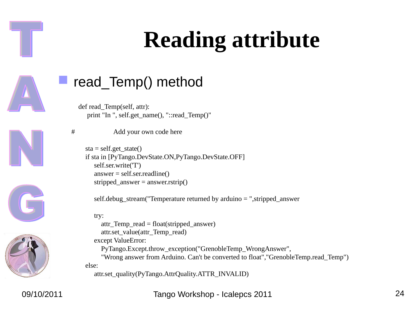#### **Reading attribute**



#### read\_Temp() method

# Add your own code here

 def read\_Temp(self, attr): print "In ", self.get\_name(), "::read\_Temp()"







 $sta = self.get\_state()$  if sta in [PyTango.DevState.ON,PyTango.DevState.OFF] self.ser.write('T')  $answer = self.ser.readline()$ stripped\_answer =  $answer.rstrip()$ 

self.debug\_stream("Temperature returned by arduino  $=$  ", stripped\_answer

try:

 attr\_Temp\_read = float(stripped\_answer) attr.set\_value(attr\_Temp\_read) except ValueError: PyTango.Except.throw\_exception("GrenobleTemp\_WrongAnswer", "Wrong answer from Arduino. Can't be converted to float","GrenobleTemp.read\_Temp") else: attr.set\_quality(PyTango.AttrQuality.ATTR\_INVALID)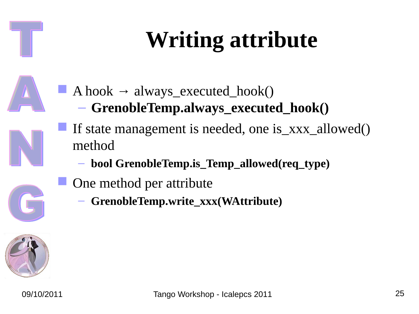# **Writing attribute**

- A hook  $\rightarrow$  always\_executed\_hook()
	- **GrenobleTemp.always\_executed\_hook()**
- If state management is needed, one is\_xxx\_allowed() method
	- **bool GrenobleTemp.is\_Temp\_allowed(req\_type)**
- One method per attribute
	- **GrenobleTemp.write\_xxx(WAttribute)**

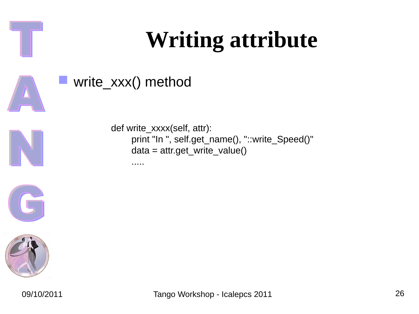#### **Writing attribute**





def write\_xxxx(self, attr): print "In ", self.get\_name(), "::write\_Speed()" data = attr.get\_write\_value()

write\_xxx() method

.....



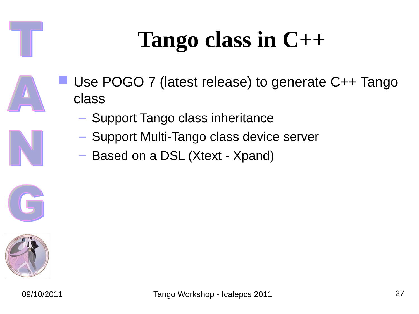#### **Tango class in C++**

- Use POGO 7 (latest release) to generate C++ Tango class
	- Support Tango class inheritance
	- Support Multi-Tango class device server
	- Based on a DSL (Xtext Xpand)

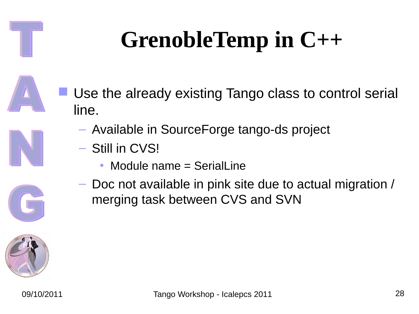# **GrenobleTemp in C++**

- Use the already existing Tango class to control serial line.
	- Available in SourceForge tango-ds project
	- Still in CVS!
		- Module name = SerialLine
	- Doc not available in pink site due to actual migration / merging task between CVS and SVN